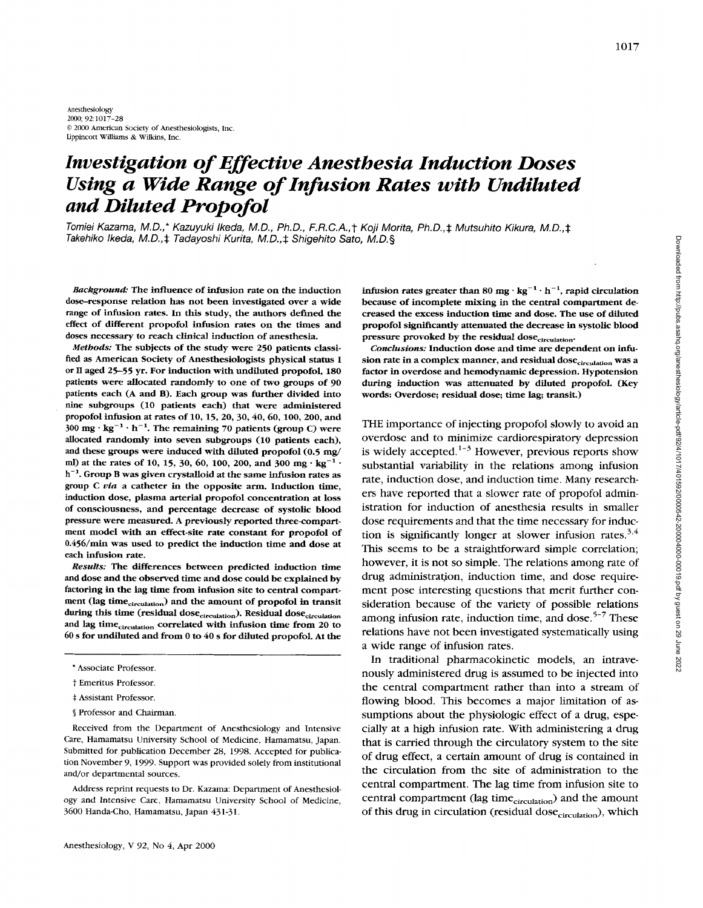# *Investigation of Effective Anesthesia Induction Doses Using a Wide Range of Infusion Rates with Undiluted and Diluted Propofol*

*Tomiei Kazama, M.D.,\* Kazuyuki Ikeda, M. D., Ph.D., F.R.C.A.,* t *Koji Morita, Ph.D.,\* Mutsuhito Kikura, M.D.,\* Takehiko Ikeda, M. D.,* \* *Tadayoshi Kurita, M. D.,S Shigehito Sato, M. 0.9* 

*Background:* The influence of infusion rate on the induction dose-response relation has not been investigated over a wide range of infusion rates. **In** this study, the authors defined the effect of different propofol infusion rates on the times and doses necessary to reach clinical induction of anesthesia.

*Methods:* The subjects of the study were 250 patients classified as American Society of Anesthesiologists physical status I or **II** aged 25-55 yr. For induction with undiluted propofol, 180 patients were allocated randomly to one of **two** groups of 90 patients each (A and **B).** Each group was further divided into nine subgroups (10 patients each) that were administered propofol infusion at rates of 10, 15, 20, *30,40,60,100,* 200, and  $300 \text{ mg} \cdot \text{kg}^{-1} \cdot \text{h}^{-1}$ . The remaining 70 patients (group C) were allocated randomly into seven subgroups (10 patients each), and these groups were induced with diluted propofol (0.5 mg/ ml) at the rates of 10, 15, 30, 60, 100, 200, and 300 mg  $\cdot$  kg<sup>-1</sup>  $\cdot$ **h-'.** Group B was given crystalloid at the same infusion rates **as**  group C *via* a catheter in the opposite arm. Induction time, induction dose, plasma arterial propofol concentration at loss of consciousness, and percentage decrease of systolic blood pressure were measured. A previously reported three-compartment model with an effect-site rate constant for propofol of 0.456/min was used to predict the induction time and dose at each infusion rate.

*Results:* The differences between predicted induction time and dose and the observed time and dose could be explained by factoring in the lag time from infusion site to central compartment (lag time<sub>circulation</sub>) and the amount of propofol in transit during this time (residual dose<sub>circulation</sub>). Residual dose<sub>circulation</sub> and lag time<sub>circulation</sub> correlated with infusion time from 20 to 60 s for undiluted and from 0 to *40* s for diluted propofol. At the

- <sup>+</sup>Assistant Professor.
- \$ Professor and Chairman.

Received from the Department of Anesthesiology and Intensive Care, Hamamatsu University School of Medicine, Hamamatsu, Japan. Submitted for publication December 28, 1998. Accepted for publication November *9, 1999.* Support was provided solely from institutional and/or departmental sources.

Address reprint requests to Dr. Kazama: Department of Anesthesiology and Intensive Care, Hamamatsu University School of Medicine, *3600* Handa-Cho, Hamamatsu, Japan *431-31.* 

infusion rates greater than 80  $mg \cdot kg^{-1} \cdot h^{-1}$ , rapid circulation because of incomplete mixing in the central compartment decreased the excess induction time and dose. The use of diluted propofol significantly attenuated the decrease in systolic blood pressure provoked by the residual dose<sub>circulation</sub>.

*Conclusions:* Induction dose and time are dependent on infusion rate in a complex manner, and residual dose<sub>circulation</sub> was a factor in overdose and hemodynamic depression. Hypotension during induction was attenuated by diluted propofol. (Key words: Overdose; residual dose; time lag; transit.)

THE importance of injecting propofol slowly to avoid an overdose and to minimize cardiorespiratory depression is widely accepted. $1-3$  However, previous reports show substantial variability in the relations among infusion rate, induction dose, and induction time. Many researchers have reported that a slower rate of propofol administration for induction of anesthesia results in smaller dose requirements and that the time necessary for induction is significantly longer at slower infusion rates. $3,4$ This seems to be a straightforward simple correlation; however, it is not so simple. The relations among rate of drug administration, induction time, and dose requirement pose interesting questions that merit further consideration because of the variety of possible relations among infusion rate, induction time, and dose. $5-7$  These relations have not been investigated systematically using a wide range of infusion rates.

In traditional pharmacokinetic models, an intravenously administered drug is assumed to be injected into the central compartment rather than into a stream of flowing blood. This becomes a major limitation of assumptions about the physiologic effect of a drug, especially at a high infusion rate. With administering a drug that is carried through the circulatory system to the site of drug effect, a certain amount of drug is contained in the circulation from the site of administration to the central compartment. The lag time from infusion site to central compartment (lag time<sub>circulation</sub>) and the amount of this drug in circulation (residual dose<sub>circulation</sub>), which

<sup>\*</sup> Associate Professor.

*t* Emeritus Professor.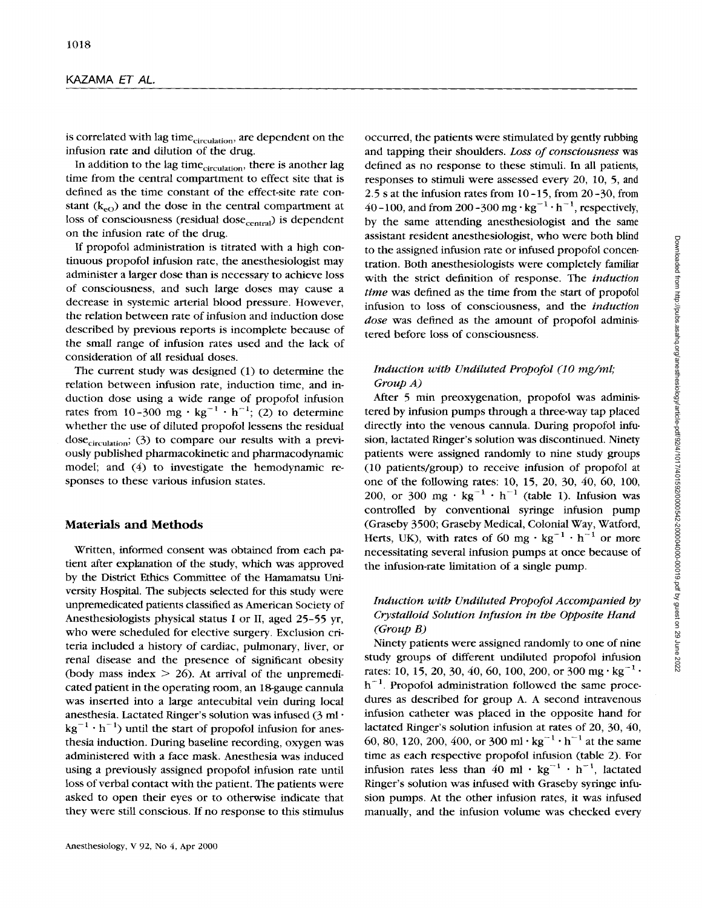is correlated with lag time<sub>circulation</sub>, are dependent on the infusion rate and dilution of the drug.

In addition to the lag time<sub>circulation</sub>, there is another lag time from the central compartment to effect site that is defined as the time constant of the effect-site rate constant  $(k_{e0})$  and the dose in the central compartment at loss of consciousness (residual dose<sub>central</sub>) is dependent on the infusion rate of the drug.

If propofol administration is titrated with a high continuous propofol infusion rate, the anesthesiologist may administer a larger dose than is necessary to achieve loss of consciousness, and such large doses may cause a decrease in systemic arterial blood pressure. However, the relation between rate of infusion and induction dose described by previous reports is incomplete because of the small range of infusion rates used and the lack of consideration of all residual doses.

The current study was designed (1) to determine the relation between infusion rate, induction time, and induction dose using a wide range of propofol infusion rates from 10-300 mg  $\cdot$  kg<sup>-1</sup>  $\cdot$  h<sup>-1</sup>; (2) to determine whether the use of diluted propofol lessens the residual dose $_{circulation}$ ; (3) to compare our results with a previously published pharmacokinetic and pharmacodynamic model; and *(4)* to investigate the hemodynamic responses to these various infusion states.

## **Materials and Methods**

Written, informed consent was obtained from each patient after explanation of the study, which was approved by the District Ethics Committee of the Hamamatsu University Hospital. The subjects selected for this study were unpremedicated patients classified as American Society of Anesthesiologists physical status **I** or 11, aged 25-55 yr, who were scheduled for elective surgery. Exclusion criteria included a history of cardiac, pulmonary, liver, or renal disease and the presence of significant obesity (body mass index  $> 26$ ). At arrival of the unpremedicated patient in the operating room, an 18-gauge cannula was inserted into a large antecubital vein during local anesthesia. Lactated Ringer's solution was infused *(3* ml  $kg^{-1} \cdot h^{-1}$ ) until the start of propofol infusion for anesthesia induction. During baseline recording, oxygen was administered with a face mask. Anesthesia was induced using a previously assigned propofol infusion rate until **loss** of verbal contact with the patient. The patients were asked to open their eyes or to otherwise indicate that they were still conscious. If no response to this stimulus

occurred, the patients were stimulated by gently rubbing and tapping their shoulders. *Loss of consciousness* **was**  defined as no response to these stimuli. In all patients, responses to stimuli were assessed every 20, 10, 5, and 2.5 **s** at the infusion rates from 10-15, from 20-30, from 40 -100, and from 200 -300 mg  $\cdot$  kg<sup>-1</sup>  $\cdot$  h<sup>-1</sup>, respectively, by the same attending anesthesiologist and the same assistant resident anesthesiologist, who were both blind to the assigned infusion rate or infused propofol concentration. Both anesthesiologists were completely familiar with the strict definition of response. The *induction time* was defined as the time from the start of propofol infusion to loss of consciousness, and the *induction dose* was defined as the amount of propofol administered before **loss** of consciousness.

## *Induction with Undiluted Propofol (10 mg/ml; Group A)*

After *5* min preoxygenation, propofol was administered by infusion pumps through a three-way tap placed directly into the venous cannula. During propofol infusion, lactated Ringer's solution was discontinued. Ninety patients were assigned randomly to nine study groups (10 patients/group) to receive infusion of propofol at one of the following rates: 10, 15, 20, 30, 40, 60, 100, 200, or 300 mg  $\cdot$  kg<sup>-1</sup>  $\cdot$  h<sup>-1</sup> (table 1). Infusion was controlled by conventional syringe infusion pump (Graseby 3500; Graseby Medical, Colonial Way, Watford, Herts, UK), with rates of 60 mg  $\cdot$  kg<sup>-1</sup>  $\cdot$  h<sup>-1</sup> or more necessitating several infusion pumps at once because of the infusion-rate limitation of a single pump.

## *Induction with Undiluted Propofol Accompanied by Crystalloid Solution Infusion in the Opposite Hand (Group B)*

Ninety patients were assigned randomly to one of nine study groups of different undiluted propofol infusion rates: 10, 15, 20, 30, 40, 60, 100, 200, or 300 mg·kg<sup>-1</sup> ·  $h^{-1}$ . Propofol administration followed the same procedures as described for group A. A second intravenous infusion catheter was placed in the opposite hand for lactated Ringer's solution infusion at rates of 20, 30, *40,*  60, 80, 120, 200, 400, or 300 ml  $\cdot$  kg<sup>-1</sup>  $\cdot$  h<sup>-1</sup> at the same time as each respective propofol infusion (table 2). For infusion rates less than  $40 \text{ ml} \cdot \text{kg}^{-1} \cdot \text{h}^{-1}$ , lactated Ringer's solution was infused with Graseby syringe infusion pumps. At the other infusion rates, it was infused manually, and the infusion volume was checked every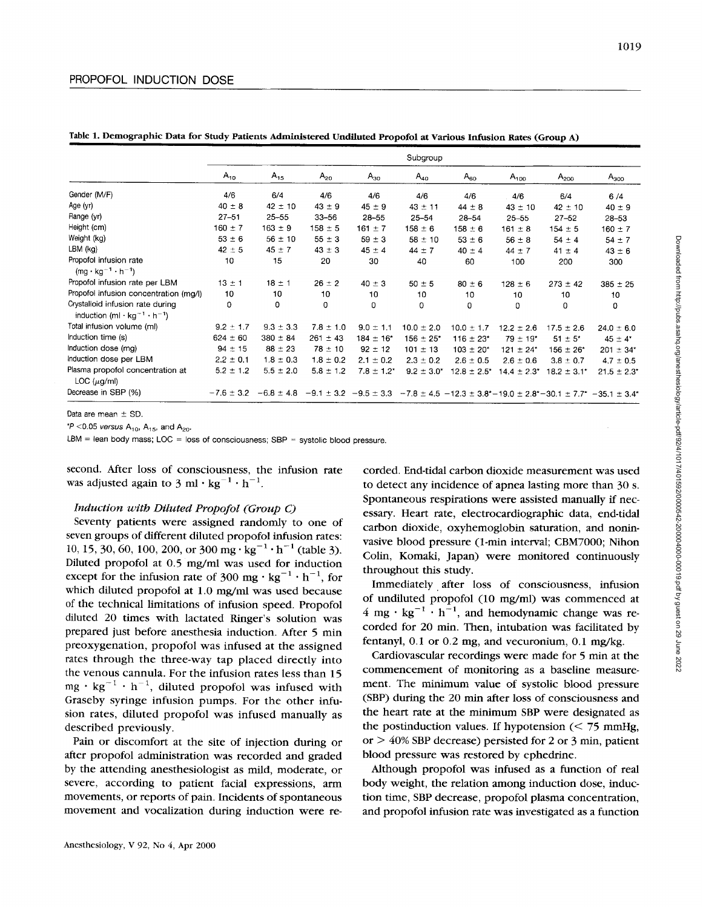| Table 1. Demographic Data for Study Patients Administered Undiluted Propofol at Various Infusion Rates (Group A) |  |  |  |
|------------------------------------------------------------------------------------------------------------------|--|--|--|
|------------------------------------------------------------------------------------------------------------------|--|--|--|

|                                                                                                      | Subgroup       |                                              |               |                           |                 |                  |                  |                           |                                                                                      |  |  |  |  |  |
|------------------------------------------------------------------------------------------------------|----------------|----------------------------------------------|---------------|---------------------------|-----------------|------------------|------------------|---------------------------|--------------------------------------------------------------------------------------|--|--|--|--|--|
|                                                                                                      | $A_{10}$       | $A_{15}$                                     | $A_{20}$      | $A_{30}$                  | $A_{40}$        | $A_{60}$         | $A_{100}$        | $A_{200}$                 | $A_{300}$                                                                            |  |  |  |  |  |
| Gender (M/F)                                                                                         | 4/6            | 6/4                                          | 4/6           | 4/6                       | 4/6             | 4/6              | 4/6              | 6/4                       | 6/4                                                                                  |  |  |  |  |  |
| Age (yr)                                                                                             | $40 \pm 8$     | $42 \pm 10$                                  | $43 \pm 9$    | $45 \pm 9$                | $43 \pm 11$     | $44 \pm 8$       | $43 \pm 10$      | $42 \pm 10$               | $40 \pm 9$                                                                           |  |  |  |  |  |
| Range (yr)                                                                                           | $27 - 51$      | $25 - 55$                                    | $33 - 56$     | $28 - 55$                 | $25 - 54$       | $28 - 54$        | $25 - 55$        | $27 - 52$                 | $28 - 53$                                                                            |  |  |  |  |  |
| Height (cm)                                                                                          | $160 \pm 7$    | $163 \pm 9$                                  | $158 \pm 5$   | $161 \pm 7$               | $158 \pm 6$     | $158 \pm 6$      | $161 \pm 8$      | $154 \pm 5$               | $160 \pm 7$                                                                          |  |  |  |  |  |
| Weight (kg)                                                                                          | $53 \pm 6$     | $56 \pm 10$                                  | $55 \pm 3$    | $59 \pm 3$                | $58 \pm 10$     | $53 \pm 6$       | $56 \pm 8$       | $54 \pm 4$                | $54 \pm 7$                                                                           |  |  |  |  |  |
| $LBM$ ( $kg$ )                                                                                       | $42 \pm 5$     | $45 \pm 7$                                   | $43 \pm 3$    | $45 \pm 4$                | $44 \pm 7$      | $40 \pm 4$       | $44 \pm 7$       | $41 \pm 4$                | $43 \pm 6$                                                                           |  |  |  |  |  |
| Propofol infusion rate<br>$(mg \cdot kg^{-1} \cdot h^{-1})$                                          | 10             | 15                                           | 20            | 30                        | 40              | 60               | 100              | 200                       | 300                                                                                  |  |  |  |  |  |
| Propofol infusion rate per LBM                                                                       | $13 \pm 1$     | $18 \pm 1$                                   | $26 \pm 2$    | $40 \pm 3$                | $50 \pm 5$      | $80 \pm 6$       | $128 \pm 6$      | $273 \pm 42$              | $385 \pm 25$                                                                         |  |  |  |  |  |
| Propofol infusion concentration (mg/l)                                                               | 10             | 10                                           | 10            | 10                        | 10              | 10               | 10               | 10                        | 10                                                                                   |  |  |  |  |  |
| Crystalloid infusion rate during<br>induction (ml $\cdot$ kg <sup>-1</sup> $\cdot$ h <sup>-1</sup> ) | 0              | 0                                            | 0             | 0                         | 0               | 0                | 0                | 0                         | 0                                                                                    |  |  |  |  |  |
| Total infusion volume (ml)                                                                           | $9.2 \pm 1.7$  | $9.3 \pm 3.3$                                | $7.8 \pm 1.0$ | $9.0 \pm 1.1$             | $10.0 \pm 2.0$  | $10.0 \pm 1.7$   | $12.2 \pm 2.6$   | $17.5 \pm 2.6$            | $24.0 \pm 6.0$                                                                       |  |  |  |  |  |
| Induction time (s)                                                                                   | $624 \pm 60$   | $380 \pm 84$                                 | $261 \pm 43$  | $184 \pm 16$ <sup>*</sup> | $156 \pm 25$ *  | $116 \pm 23$ *   | $79 \pm 19$ *    | $51 \pm 5^*$              | $45 \pm 4^*$                                                                         |  |  |  |  |  |
| Induction dose (mg)                                                                                  | $94 \pm 15$    | $88 \pm 23$                                  | $78 \pm 10$   | $92 \pm 12$               | $101 \pm 13$    | $103 \pm 20^*$   | $121 \pm 24$ *   | $156 \pm 26$ <sup>*</sup> | $201 \pm 34$ <sup>*</sup>                                                            |  |  |  |  |  |
| Induction dose per LBM                                                                               | $2.2 \pm 0.1$  | $1.8 \pm 0.3$                                | $1.8 \pm 0.2$ | $2.1 \pm 0.2$             | $2.3 \pm 0.2$   | $2.6 \pm 0.5$    | $2.6 \pm 0.6$    | $3.8 \pm 0.7$             | $4.7 \pm 0.5$                                                                        |  |  |  |  |  |
| Plasma propofol concentration at<br>LOC (µg/ml)                                                      | $5.2 \pm 1.2$  | $5.5 \pm 2.0$                                | $5.8 \pm 1.2$ | $7.8 \pm 1.2^*$           | $9.2 \pm 3.0^*$ | $12.8 \pm 2.5^*$ | $14.4 \pm 2.3^*$ | $18.2 \pm 3.1^*$          | $21.5 \pm 2.3^*$                                                                     |  |  |  |  |  |
| Decrease in SBP (%)                                                                                  | $-7.6 \pm 3.2$ | $-6.8 \pm 4.8$ $-9.1 \pm 3.2$ $-9.5 \pm 3.3$ |               |                           |                 |                  |                  |                           | $-7.8 \pm 4.5 -12.3 \pm 3.8$ * $-19.0 \pm 2.8$ * $-30.1 \pm 7.7$ * $-35.1 \pm 3.4$ * |  |  |  |  |  |

Data are mean  $\pm$  SD.

*"P* <0.05 *versus* A<sub>10</sub>, A<sub>15</sub>, and A<sub>20</sub>.

LBM = lean body mass; LOC = **loss** of consciousness; SBP = systolic blood pressure.

second. After loss of consciousness, the infusion rate was adjusted again to 3 ml  $\cdot$  kg<sup>-1</sup>  $\cdot$  h<sup>-1</sup>.

#### *Induction with Diluted Propofol (Group C)*

Seventy patients were assigned randomly to one of seven groups of different diluted propofol infusion rates: 10, 15, 30, 60, 100, 200, or 300 mg  $\cdot$  kg<sup>-1</sup>  $\cdot$  h<sup>-1</sup> (table 3). Diluted propofol at 0.5 mg/ml was used for induction except for the infusion rate of 300 mg  $\cdot$  kg<sup>-1</sup>  $\cdot$  h<sup>-1</sup>, for which diluted propofol at 1.0 mg/ml was used because of the technical limitations of infusion speed. Propofol diluted 20 times with lactated Ringer's solution was prepared just before anesthesia induction. After *5* min preoxygenation, propofol was infused at the assigned rates through the three-way tap placed directly into the venous cannula. For the infusion rates less than 15  $mg \cdot kg^{-1} \cdot h^{-1}$ , diluted propofol was infused with Graseby syringe infusion pumps. For the other infusion rates, diluted propofol was infused manually as described previously.

Pain or discomfort at the site of injection during or after propofol administration was recorded and graded by the attending anesthesiologist as mild, moderate, or severe, according to patient facial expressions, arm movements, or reports of pain. Incidents of spontaneous movement and vocalization during induction were re-

corded. End-tidal carbon dioxide measurement was used to detect any incidence of apnea lasting more than 30 **s.**  Spontaneous respirations were assisted manually if necessary. Heart rate, electrocardiographic data, end-tidal carbon dioxide, oxyhemoglobin saturation, and noninvasive blood pressure (1-min interval; CBM7000; Nihon Colin, Komaki, Japan) were monitored continuously throughout this study.

Immediately after loss of consciousness, infusion of undiluted propofol (10 mg/ml) was commenced at 4 mg  $\cdot$  kg<sup>-1</sup>  $\cdot$  h<sup>-1</sup>, and hemodynamic change was recorded for 20 min. Then, intubation was facilitated by fentanyl, 0.1 or 0.2 mg, and vecuronium, 0.1 mg/kg.

Cardiovascular recordings were made for 5 min at the commencement of monitoring as a baseline measurement. The minimum value **of** systolic blood pressure (SBP) during the **20** min after loss of consciousness and the heart rate at the minimum SBP were designated as the postinduction values. If hypotension  $\approx$  75 mmHg, or > *40%* SBP decrease) persisted for *2* or 3 min, patient blood pressure was restored by ephedrine.

Although propofol was infused as a function of real body weight, the relation among induction dose, induction time, SBP decrease, propofol plasma concentration, and propofol infusion rate was investigated as a function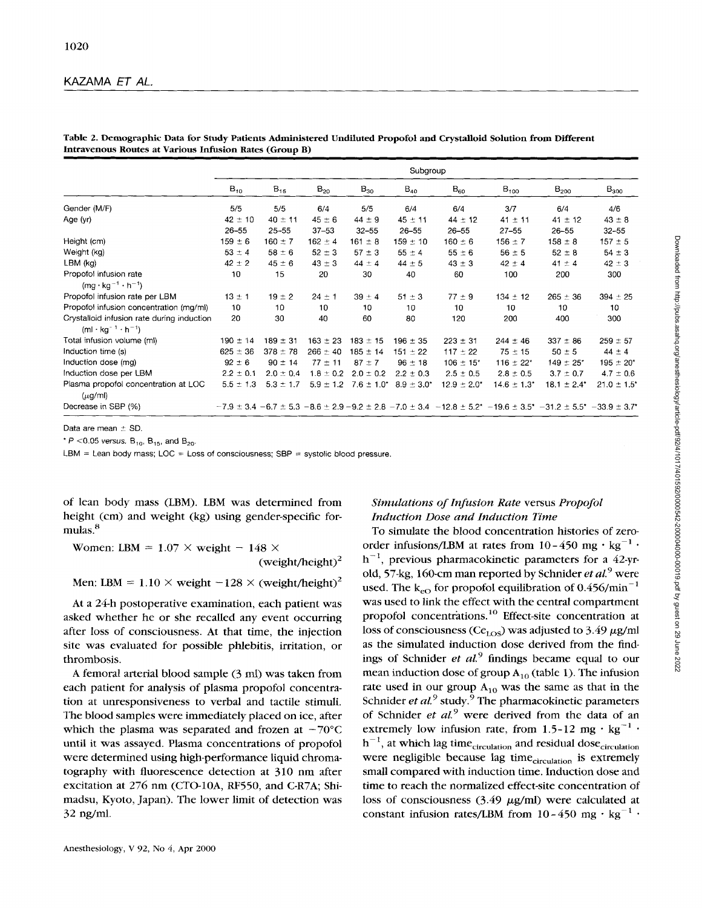|                                                                                 |               |               |               |               | Subgroup                       |                           |                  |                                                                                                                                                                                                |                  |
|---------------------------------------------------------------------------------|---------------|---------------|---------------|---------------|--------------------------------|---------------------------|------------------|------------------------------------------------------------------------------------------------------------------------------------------------------------------------------------------------|------------------|
|                                                                                 | $B_{10}$      | $B_{15}$      | $B_{20}$      | $B_{30}$      | $B_{40}$                       | $B_{60}$                  | $B_{100}$        | $B_{200}$                                                                                                                                                                                      | $B_{300}$        |
| Gender (M/F)                                                                    | 5/5           | 5/5           | 6/4           | 5/5           | 6/4                            | 6/4                       | 3/7              | 6/4                                                                                                                                                                                            | 4/6              |
| Age (yr)                                                                        | $42 \pm 10$   | $40 \pm 11$   | $45 \pm 6$    | $44 \pm 9$    | $45 \pm 11$                    | $44 \pm 12$               | $41 \pm 11$      | $41 \pm 12$                                                                                                                                                                                    | $43 \pm 8$       |
|                                                                                 | $26 - 55$     | $25 - 55$     | $37 - 53$     | $32 - 55$     | $26 - 55$                      | $26 - 55$                 | $27 - 55$        | $26 - 55$                                                                                                                                                                                      | $32 - 55$        |
| Height (cm)                                                                     | $159 \pm 6$   | $160 \pm 7$   | $162 \pm 4$   | $161 \pm 8$   | $159 \pm 10$                   | $160 \pm 6$               | $156 \pm 7$      | $158 \pm 8$                                                                                                                                                                                    | $157 \pm 5$      |
| Weight (kg)                                                                     | $53 \pm 4$    | $58 \pm 6$    | $52 \pm 3$    | $57 \pm 3$    | $55 \pm 4$                     | $55 \pm 6$                | $56 \pm 5$       | $52 \pm 8$                                                                                                                                                                                     | $54 \pm 3$       |
| LBM (kg)                                                                        | $42 \pm 2$    | $45 \pm 6$    | $43 \pm 3$    | $44 \pm 4$    | $44 \pm 5$                     | $43 \pm 3$                | $42 \pm 4$       | $41 \pm 4$                                                                                                                                                                                     | $42 \pm 3$       |
| Propofol infusion rate<br>$(mq \cdot kq^{-1} \cdot h^{-1})$                     | 10            | 15            | 20            | 30            | 40                             | 60                        | 100              | 200                                                                                                                                                                                            | 300              |
| Propofol infusion rate per LBM                                                  | $13 \pm 1$    | $19 \pm 2$    | $24 \pm 1$    | $39 \pm 4$    | $51 \pm 3$                     | $77 \pm 9$                | $134 \pm 12$     | $265 \pm 36$                                                                                                                                                                                   | $394 \pm 25$     |
| Propofol infusion concentration (mg/ml)                                         | 10            | 10            | 10            | 10            | 10                             | 10                        | 10               | 10                                                                                                                                                                                             | 10               |
| Crystalloid infusion rate during induction<br>$(ml \cdot kq^{-1} \cdot h^{-1})$ | 20            | 30            | 40            | 60            | 80                             | 120                       | 200              | 400                                                                                                                                                                                            | 300              |
| Total infusion volume (ml)                                                      | $190 \pm 14$  | $189 \pm 31$  | $163 \pm 23$  | $183 \pm 15$  | $196 \pm 35$                   | $223 \pm 31$              | $244 \pm 46$     | $337 \pm 86$                                                                                                                                                                                   | $259 \pm 57$     |
| Induction time (s)                                                              | $625 \pm 36$  | $378 \pm 78$  | $266 \pm 40$  | $185 \pm 14$  | $151 \pm 22$                   | $117 \pm 22$              | $75 \pm 15$      | $50 \pm 5$                                                                                                                                                                                     | $44 \pm 4$       |
| Induction dose (mg)                                                             | $92 \pm 6$    | $90 \pm 14$   | $77 \pm 11$   | $87 \pm 7$    | $96 \pm 18$                    | $106 \pm 15$ <sup>*</sup> | 116 $\pm$ 22*    | $149 \pm 25$ <sup>*</sup>                                                                                                                                                                      | $195 \pm 20^*$   |
| Induction dose per LBM                                                          | $2.2 \pm 0.1$ | $2.0 \pm 0.4$ | $1.8 \pm 0.2$ | $2.0 \pm 0.2$ | $2.2 \pm 0.3$                  | $2.5 \pm 0.5$             | $2.8 \pm 0.5$    | $3.7 \pm 0.7$                                                                                                                                                                                  | $4.7 \pm 0.6$    |
| Plasma propofol concentration at LOC<br>$(\mu$ g/ml)                            | $5.5 \pm 1.3$ | $5.3 \pm 1.7$ | $5.9 \pm 1.2$ |               | $7.6 \pm 1.0^*$ 8.9 $\pm$ 3.0* | $12.9 \pm 2.0^*$          | $14.6 \pm 1.3^*$ | $18.1 \pm 2.4^*$                                                                                                                                                                               | $21.0 \pm 1.5^*$ |
| Decrease in SBP (%)                                                             |               |               |               |               |                                |                           |                  | $-7.9 \pm 3.4$ $-6.7 \pm 5.3$ $-8.6 \pm 2.9$ $-9.2 \pm 2.8$ $-7.0 \pm 3.4$ $-12.8 \pm 5.2$ <sup>*</sup> $-19.6 \pm 3.5$ <sup>*</sup> $-31.2 \pm 5.5$ <sup>*</sup> $-33.9 \pm 3.7$ <sup>*</sup> |                  |

#### **Table 2. Demographic Data for Study Patients Administered Undiluted Propofol and Crystalloid Solution from Different Intravenous Routes at Various Infusion Rates (Group B)**

Data are mean  $+$  SD.

 $*$  *P* <0.05 versus.  $B_{10}$ ,  $B_{15}$ , and  $B_{20}$ .

LBM = Lean body mass; LOC = Loss of consciousness; SBP = systolic blood pressure.

of lean body mass (LBM). LBM was determined from height (cm) and weight (kg) using gender-specific formulas.<sup>8</sup>

Women: LBM =  $1.07 \times$  weight - 148  $\times$ (weight/height) $<sup>2</sup>$ </sup>

Men: LBM =  $1.10 \times$  weight  $-128 \times$  (weight/height)<sup>2</sup>

At a 24-h postoperative examination, each patient was asked whether he or she recalled any event occurring after loss of consciousness. At that time, the injection site was evaluated for possible phlebitis, irritation, or thrombosis.

**A** femoral arterial blood sample (3 rnl) was taken from each patient for analysis of plasma propofol concentration at unresponsiveness to verbal and tactile stimuli. The blood samples were immediately placed on ice, after which the plasma was separated and frozen at  $-70^{\circ}$ C until it was assayed. Plasma concentrations of propofol were determined using high-performance liquid chromatography with fluorescence detection at 310 nm after excitation at 276 nm (CTO-lOA, RF550, and C-R7A; Shimadsu, Kyoto, Japan). The lower limit of detection was 32 ng/ml.

## *Simulations of Infusion Rate* versus *Propofol Induction Dose and Induction Time*

To simulate the blood concentration histories of zeroorder infusions/LBM at rates from  $10-450$  mg  $\cdot$  kg<sup>-1</sup>  $\cdot$  $h^{-1}$ , previous pharmacokinetic parameters for a 42-yrold, 57-kg, 160-cm man reported by Schnider *et al.*<sup>9</sup> were used. The  $k_{eO}$  for propofol equilibration of 0.456/min<sup>-1</sup> was used to link the effect with the central compartment propofol concentrations.<sup>10</sup> Effect-site concentration at loss of consciousness (Ce<sub>LOS</sub>) was adjusted to 3.49  $\mu$ g/ml as the simulated induction dose derived from the findings of Schnider *et al.*<sup>9</sup> findings became equal to our mean induction dose of group  $A_{10}$  (table 1). The infusion rate used in our group  $A_{10}$  was the same as that in the Schnider *et al.*<sup>9</sup> study.<sup>9</sup> The pharmacokinetic parameters of Schnider *et aL9* were derived from the data of an extremely low infusion rate, from 1.5-12 mg  $\cdot$  kg<sup>-1</sup>  $\cdot$  $h^{-1}$ , at which lag time<sub>circulation</sub> and residual dose<sub>circulation</sub> were negligible because lag time<sub>circulation</sub> is extremely small compared with induction time. Induction dose and time to reach the normalized effect-site concentration of loss of consciousness  $(3.49 \mu g/ml)$  were calculated at constant infusion rates/LBM from  $10-450$  mg  $\cdot$  kg<sup>-1</sup>  $\cdot$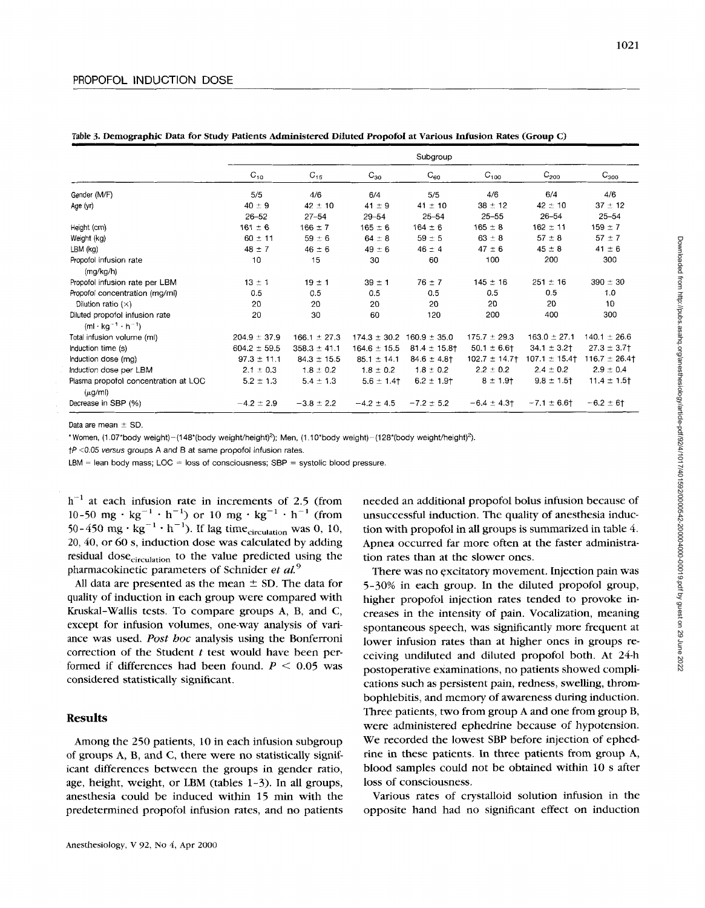|  |  |  | Table 3. Demographic Data for Study Patients Administered Diluted Propofol at Various Infusion Rates (Group C) |  |  |  |  |
|--|--|--|----------------------------------------------------------------------------------------------------------------|--|--|--|--|
|--|--|--|----------------------------------------------------------------------------------------------------------------|--|--|--|--|

|                                                                     |                  | Subgroup         |                  |                   |                  |                  |                  |  |  |  |  |  |  |  |
|---------------------------------------------------------------------|------------------|------------------|------------------|-------------------|------------------|------------------|------------------|--|--|--|--|--|--|--|
|                                                                     | $C_{10}$         | $C_{15}$         | $C_{30}$         | $C_{60}$          | $C_{100}$        | $C_{200}$        | $C_{300}$        |  |  |  |  |  |  |  |
| Gender (M/F)                                                        | 5/5              | 4/6              | 6/4              | 5/5               | 4/6              | 6/4              | 4/6              |  |  |  |  |  |  |  |
| Age (yr)                                                            | $40 \pm 9$       | $42 \pm 10$      | $41 \pm 9$       | $41 \pm 10$       | $38 \pm 12$      | $42 \pm 10$      | $37 \pm 12$      |  |  |  |  |  |  |  |
|                                                                     | $26 - 52$        | $27 - 54$        | $29 - 54$        | $25 - 54$         | $25 - 55$        | $26 - 54$        | $25 - 54$        |  |  |  |  |  |  |  |
| Height (cm)                                                         | $161 \pm 6$      | $166 \pm 7$      | $165 \pm 6$      | $164 \pm 6$       | $165 \pm 8$      | $162 \pm 11$     | $159 \pm 7$      |  |  |  |  |  |  |  |
| Weight (kg)                                                         | $60 \pm 11$      | $59 \pm 6$       | $64 \pm 8$       | $59 \pm 5$        | $63 \pm 8$       | $57 \pm 8$       | $57 \pm 7$       |  |  |  |  |  |  |  |
| LBM (kg)                                                            | $48 \pm 7$       | $46 \pm 6$       | $49 \pm 6$       | $46 \pm 4$        | $47 \pm 6$       | $45 \pm 8$       | $41 \pm 6$       |  |  |  |  |  |  |  |
| Propofol infusion rate                                              | 10               | 15               | 30               | 60                | 100              | 200              | 300              |  |  |  |  |  |  |  |
| (mg/kg/h)                                                           |                  |                  |                  |                   |                  |                  |                  |  |  |  |  |  |  |  |
| Propofol infusion rate per LBM                                      | $13 \pm 1$       | $19 \pm 1$       | $39 \pm 1$       | $76 \pm 7$        | $145 \pm 16$     | $251 \pm 16$     | $390 \pm 30$     |  |  |  |  |  |  |  |
| Propofol concentration (mg/ml)                                      | 0.5              | 0.5              | 0.5              | 0.5               | 0.5              | 0.5              | 1.0              |  |  |  |  |  |  |  |
| Dilution ratio $(X)$                                                | 20               | 20               | 20               | 20                | 20               | 20               | 10               |  |  |  |  |  |  |  |
| Diluted propofol infusion rate<br>$(ml \cdot kq^{-1} \cdot h^{-1})$ | 20               | 30               | 60               | 120               | 200              | 400              | 300              |  |  |  |  |  |  |  |
| Total infusion volume (ml)                                          | $204.9 \pm 37.9$ | $166.1 \pm 27.3$ | $174.3 \pm 30.2$ | $160.9 \pm 35.0$  | $175.7 \pm 29.3$ | $163.0 \pm 27.1$ | $140.1 \pm 26.6$ |  |  |  |  |  |  |  |
| Induction time (s)                                                  | $604.2 \pm 59.5$ | $358.3 \pm 41.1$ | $164.6 \pm 15.5$ | $81.4 \pm 15.8$ † | $50.1 \pm 6.6$   | $34.1 \pm 3.2$ † | $27.3 \pm 3.7$ † |  |  |  |  |  |  |  |
| Induction dose (mg)                                                 | $97.3 \pm 11.1$  | $84.3 \pm 15.5$  | $85.1 \pm 14.1$  | $84.6 \pm 4.8$ †  | $102.7 \pm 14.7$ | $107.1 \pm 15.4$ | $116.7 \pm 26.4$ |  |  |  |  |  |  |  |
| Induction dose per LBM                                              | $2.1 \pm 0.3$    | $1.8 \pm 0.2$    | $1.8 \pm 0.2$    | $1.8 \pm 0.2$     | $2.2 \pm 0.2$    | $2.4 \pm 0.2$    | $2.9 \pm 0.4$    |  |  |  |  |  |  |  |
| Plasma propofol concentration at LOC<br>$(\mu q/m)$                 | $5.2 \pm 1.3$    | $5.4 \pm 1.3$    | $5.6 \pm 1.4$    | $6.2 \pm 1.9$     | $8 \pm 1.9$ †    | $9.8 \pm 1.5$    | $11.4 \pm 1.5$   |  |  |  |  |  |  |  |
| Decrease in SBP (%)                                                 | $-4.2 \pm 2.9$   | $-3.8 \pm 2.2$   | $-4.2 \pm 4.5$   | $-7.2 \pm 5.2$    | $-6.4 \pm 4.3$   | $-7.1 \pm 6.6$   | $-6.2 \pm 6$ †   |  |  |  |  |  |  |  |

Data are mean  $+$  SD

\*Women, (1.07\*body weight)-(148\*(body weight/height)<sup>2</sup>); Men, (1.10\*body weight)-(128\*(body weight/height)<sup>2</sup>).

*tP* **<O** 05 *versus* groups A and B at same propofol infusion rates

 $LBM =$  lean body mass;  $LOC =$  loss of consciousness;  $SBP =$  systolic blood pressure.

 $h^{-1}$  at each infusion rate in increments of 2.5 (from 10-50 mg  $\cdot$  kg<sup>-1</sup>  $\cdot$  h<sup>-1</sup>) or 10 mg  $\cdot$  kg<sup>-1</sup>  $\cdot$  h<sup>-1</sup> (from 50-450 mg  $\cdot$  kg<sup>-1</sup>  $\cdot$  h<sup>-1</sup>). If lag time<sub>circulation</sub> was 0, 10, **20,** *40,* or 60 **s,** induction dose was calculated by adding residual dose<sub>circulation</sub> to the value predicted using the pharmacokinetic parameters of Schnider *et al.* 

All data are presented as the mean  $\pm$  SD. The data for quality of induction in each group were compared with Kruskal-Wallis tests. To compare groups A, B, and *C,*  except for infusion volumes, one-way analysis of variance was used. *Post hoc* analysis using the Bonferroni correction of the Student *t* test would have been performed if differences had been found.  $P \leq 0.05$  was considered statistically significant.

#### **Results**

Among the 250 patients, 10 in each infusion subgroup of groups **A, B,** and *C,* there were no statistically significant differences between the groups in gender ratio, age, height, weight, or LBM (tables 1-3). In all groups, anesthesia could be induced within 15 min with the predetermined propofol infusion rates, and no patients needed an additional propofol bolus infusion because of unsuccessful induction. The quality of anesthesia induction with propofol in all groups is summarized in table *4.*  Apnea occurred far more often at the faster administration rates than at the slower ones.

There was no excitatory movement. Injection pain was 5-30% in each group. In the diluted propofol group, higher propofol injection rates tended to provoke increases in the intensity of pain. Vocalization, meaning spontaneous speech, was significantly more frequent at lower infusion rates than at higher ones in groups receiving undiluted and diluted propofol both. At 24-h postoperative examinations, no patients showed complications such as persistent pain, redness, swelling, thrombophlebitis, and memory of awareness during induction. Three patients, two from group A and one from group B, were administered ephedrine because of hypotension. We recorded the lowest SBP before injection of ephedrine in these patients. In three patients from group **A,**  blood samples could not be obtained within **10 s** after loss of consciousness.

Various rates of crystalloid solution infusion in the opposite hand had no significant effect on induction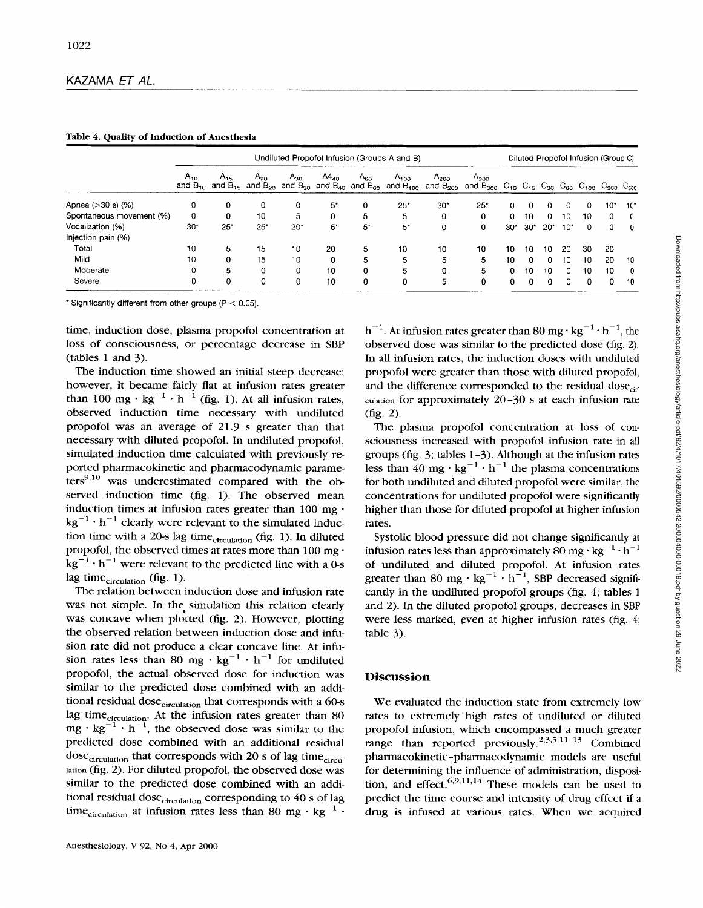|                            |          | Undiluted Propofol Infusion (Groups A and B) |          |                                                                 |           |                                       |                                                |                            |                                                                                                                                                      |          |              |          | Diluted Propofol Infusion (Group C) |    |          |              |  |  |  |  |
|----------------------------|----------|----------------------------------------------|----------|-----------------------------------------------------------------|-----------|---------------------------------------|------------------------------------------------|----------------------------|------------------------------------------------------------------------------------------------------------------------------------------------------|----------|--------------|----------|-------------------------------------|----|----------|--------------|--|--|--|--|
|                            | $A_{10}$ | $A_{15}$                                     | $A_{20}$ | $A_{30}$<br>and $B_{10}$ and $B_{15}$ and $B_{20}$ and $B_{30}$ | $A4_{40}$ | $A_{60}$<br>and $B_{40}$ and $B_{60}$ | $A_{100}$<br>and $\overline{\mathrm{B_{100}}}$ | $A_{200}$<br>and $B_{200}$ | $A_{300}$<br>and B <sub>300</sub> C <sub>10</sub> C <sub>15</sub> C <sub>30</sub> C <sub>60</sub> C <sub>100</sub> C <sub>200</sub> C <sub>300</sub> |          |              |          |                                     |    |          |              |  |  |  |  |
| Apnea $( >30 s)$ $($ % $)$ | 0        | 0                                            | 0        | 0                                                               | 5*        | 0                                     | 25"                                            | $30*$                      | 25"                                                                                                                                                  | 0        |              | 0        | $\Omega$                            | 0  | 10*      | 10*          |  |  |  |  |
| Spontaneous movement (%)   | 0        | 0                                            | 10       | 5                                                               | 0         | 5                                     | 5                                              | 0                          | 0                                                                                                                                                    | 0        | 10           | $\Omega$ | 10                                  | 10 | $\Omega$ | 0            |  |  |  |  |
| Vocalization (%)           | 30"      | 25"                                          | $25*$    | $20*$                                                           | $5^*$     | 5*                                    | 5*                                             | 0                          | 0                                                                                                                                                    | $30*$    | $30*$        | $20*$    | $10*$                               | 0  | 0        | $\theta$     |  |  |  |  |
| Injection pain (%)         |          |                                              |          |                                                                 |           |                                       |                                                |                            |                                                                                                                                                      |          |              |          |                                     |    |          |              |  |  |  |  |
| Total                      | 10       | 5                                            | 15       | 10                                                              | 20        | 5                                     | 10                                             | 10                         | 10                                                                                                                                                   | 10       | 10           | 10       | 20                                  | 30 | 20       |              |  |  |  |  |
| Mild                       | 10       | 0                                            | 15       | 10                                                              | $\Omega$  | 5                                     | 5                                              | 5                          | 5                                                                                                                                                    | 10       | <sup>0</sup> | $\Omega$ | 10                                  | 10 | 20       | 10           |  |  |  |  |
| Moderate                   | 0        | 5.                                           | 0        | 0                                                               | 10        | 0                                     | 5                                              | 0                          | 5                                                                                                                                                    | 0.       | 10           | 10       | 0                                   | 10 | 10       | $\mathbf{0}$ |  |  |  |  |
| Severe                     | 0        | $\Omega$                                     | $\Omega$ | 0                                                               | 10        | 0                                     | 0                                              | 5                          | 0                                                                                                                                                    | $\Omega$ | U            | $\Omega$ | 0                                   | 0  | $\Omega$ | 10           |  |  |  |  |

**Table** *4.* **Quality of Induction of Anesthesia** 

\* Significantly different from other groups  $(P < 0.05)$ .

time, induction dose, plasma propofol concentration at loss of consciousness, or percentage decrease in SBP  $(tables 1 and 3)$ .

The induction time showed an initial steep decrease; however, it became fairly flat at infusion rates greater than 100 mg  $\cdot$  kg<sup>-1</sup>  $\cdot$  h<sup>-1</sup> (fig. 1). At all infusion rates, observed induction time necessary with undiluted propofol was an average of 21.9 **s** greater than that necessary with diluted propofol. In undiluted propofol, simulated induction time calculated with previously reported pharmacokinetic and pharmacodynamic parame $ters<sup>9,10</sup>$  was underestimated compared with the observed induction time (fig. 1). The observed mean induction times at infusion rates greater than  $100$  mg  $\cdot$  $kg^{-1} \cdot h^{-1}$  clearly were relevant to the simulated induction time with a 20-s lag time<sub>circulation</sub> (fig. 1). In diluted propofol, the observed times at rates more than 100 mg  $kg^{-1} \cdot h^{-1}$  were relevant to the predicted line with a 0-s lag time $c_{\text{circulation}}$  (fig. 1).

The relation between induction dose and infusion rate was not simple. In the simulation this relation clearly was concave when plotted (fig. 2). However, plotting the observed relation between induction dose and infusion rate did not produce a clear concave line. At infusion rates less than 80 mg  $\cdot$  kg<sup>-1</sup>  $\cdot$  h<sup>-1</sup> for undiluted propofol, the actual observed dose for induction was similar to the predicted dose combined with **an** additional residual dose<sub>circulation</sub> that corresponds with a 60-s lag time<sub>circulation</sub>. At the infusion rates greater than 80  $mg \cdot kg^{-1} \cdot h^{-1}$ , the observed dose was similar to the predicted dose combined with an additional residual dose<sub>circulation</sub> that corresponds with 20 s of lag time<sub>circu</sub>lation (fig. 2). For diluted propofol, the observed dose was similar to the predicted dose combined with an additional residual dose<sub>circulation</sub> corresponding to 40 s of lag time<sub>circulation</sub> at infusion rates less than 80 mg  $\cdot$  kg<sup>-1</sup>  $\cdot$ 

 $h^{-1}$ . At infusion rates greater than 80 mg  $\cdot$  kg<sup>-1</sup>  $\cdot$  h<sup>-1</sup>, the observed dose was similar to the predicted dose (fig. **2).**  In all infusion rates, the induction doses with undiluted propofol were greater than those with diluted propofol, and the difference corresponded to the residual dose $_{cir}$ culation for approximately 20-30 **s** at each infusion rate (fig. 2).

The plasma propofol concentration at loss of consciousness increased with propofol infusion rate in all groups (fig. 3; tables 1-3). Although at the infusion rates less than  $40 \text{ mg} \cdot \text{kg}^{-1} \cdot \text{h}^{-1}$  the plasma concentrations for both undiluted and diluted propofol were similar, the concentrations for undiluted propofol were significantly higher than those for diluted propofol at higher infusion rates.

Systolic blood pressure did not change significantly at infusion rates less than approximately 80 mg  $\cdot$  kg<sup>-1</sup>  $\cdot$  h<sup>-1</sup> of undiluted and diluted propofol. At infusion rates greater than 80 mg  $\cdot$  kg<sup>-1</sup>  $\cdot$  h<sup>-1</sup>, SBP decreased significantly in the undiluted propofol groups (fig. *4;* tables 1 and *2).* In the diluted propofol groups, decreases in SBP were less marked, even at higher infusion rates (fig. *4;*  table *3).* 

### **Discussion**

We evaluated the induction state from extremely low rates to extremely high rates of undiluted or diluted propofol infusion, which encompassed a much greater range than reported previously.<sup>2,3,5,11-13</sup> Combined **pharmacokinetic-pharmacodynamic** models are useful for determining the influence of administration, disposition, and effect.<sup>6,9,11,14</sup> These models can be used to predict the time course and intensity of drug effect if a drug is infused at various rates. When we acquired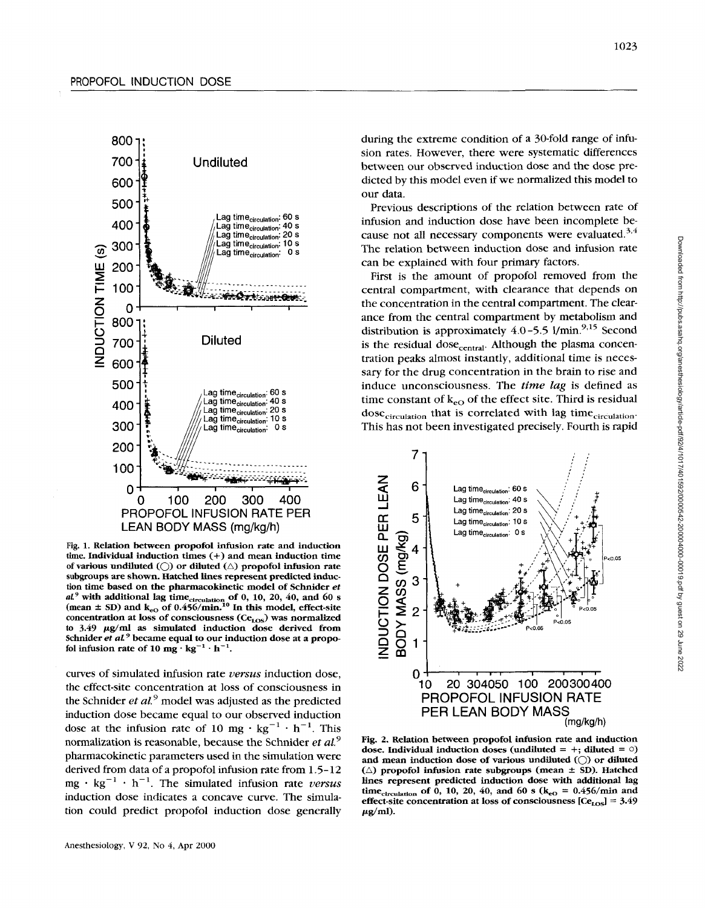

Fig. 1. Relation between propofol infusion rate and induction time. Individual induction times (+) and mean induction time of various undiluted  $\left(\bigcap\right)$  or diluted  $\left(\bigtriangleup\right)$  propofol infusion rate subgroups **are** shown. Hatched lines represent predicted induction time based **on** the pharmacokinetic model of Schnider *et aL<sup>9</sup>* with additional lag time<sub>circulation of 0, 10, 20, 40, and 60 s (mean  $\pm$  SD) and  $k_{e0}$  of 0.456/min.<sup>10</sup> In this model, effect-site</sub> concentration at loss of consciousness (Ce<sub>LOS</sub>) was normalized  $\int$   $\frac{1}{9}$   $\mu$ g/ml as simulated induction dose derived from Schnider *et al*<sup>9</sup> became equal to our induction dose at a propofol infusion rate of 10 mg  $\cdot$  kg<sup>-1</sup>  $\cdot$  h<sup>-1</sup>.

curves of simulated infusion rate *versus* induction dose, the effect-site concentration at loss **of** consciousness in the Schnider *et al.*<sup>9</sup> model was adjusted as the predicted induction dose became equal to our observed induction dose at the infusion rate of 10 mg  $\cdot$  kg<sup>-1</sup>  $\cdot$  h<sup>-1</sup>. This normalization is reasonable, because the Schnider *et aL9*  pharmacokinetic parameters used in the simulation were derived from data of a propofol infusion rate from 1.5- 12  $mg \cdot kg^{-1} \cdot h^{-1}$ . The simulated infusion rate *versus* induction dose indicates a concave curve. The simulation could predict propofol induction dose generally

during the extreme condition of a 30-fold range of infusion rates. However, there were systematic differences between our observed induction dose and the dose predicted by this model even if we normalized this model to our data.

Previous descriptions of the relation between rate of infusion and induction dose have been incomplete because not all necessary components were evaluated. *3,4*  The relation between induction dose and infusion rate can be explained with four primary factors.

First is the amount of propofol removed from the central compartment, with clearance that depends on the concentration in the central compartment. The clearance from the central compartment by metabolism and distribution is approximately  $4.0 - 5.5$  l/min.<sup>9,15</sup> Second is the residual dose<sub>central</sub>. Although the plasma concentration peaks almost instantly, additional time is necessary for the drug concentration in the brain to rise and induce unconsciousness. The *time lag* is defined as time constant of  $k_{eO}$  of the effect site. Third is residual  $dose<sub>circulation</sub>$  that is correlated with lag time $_{circulation}$ . This has not been investigated precisely. Fourth is rapid



Fig. 2. Relation between propofol infusion rate and induction dose. Individual induction doses (undiluted  $= +$ ; diluted  $= 0$ ) and mean Induction dose of **various** undiluted *(0)* or diluted  $(\triangle)$  propofol infusion rate subgroups (mean  $\pm$  SD). Hatched lines represent predicted induction dose with additional lag time<sub>circulation</sub> of  $\hat{0}$ , 10, 20, 40, and 60 *s* ( $k_{eO} = 0.456/$ min and effect-site concentration at loss of consciousness  $[Ce<sub>LOS</sub>] = 3.49$  $\mu$ g/ml).

1023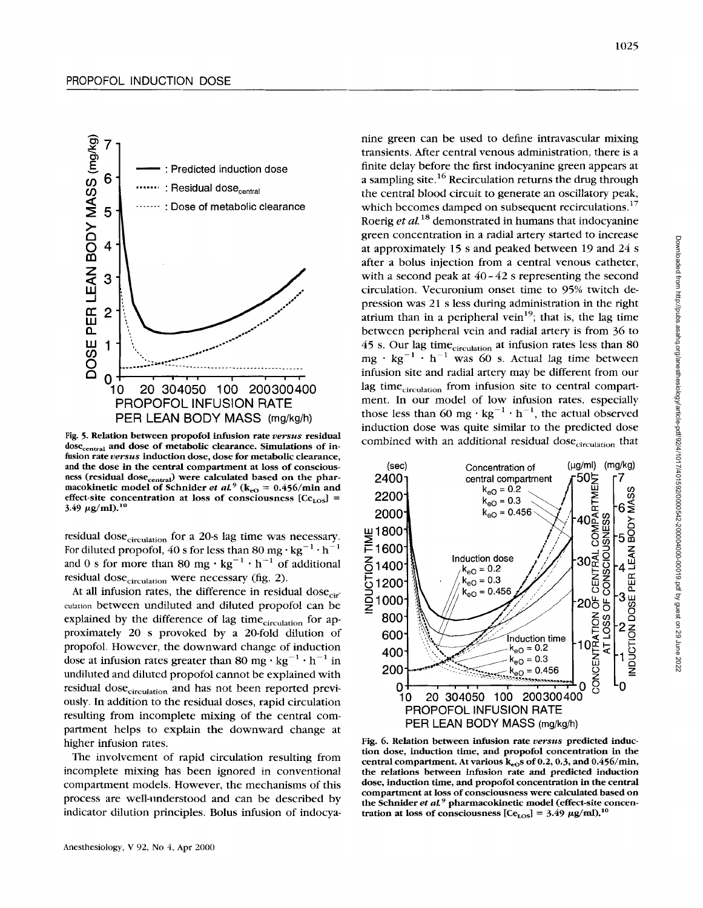

**Fig. 5. Relation between propofol infusion rate** *versus* **residual**  dose<sub>central</sub> and dose of metabolic clearance. Simulations of in**fusion rate** *versus* **induction dose, dose for metabolic clearance, and the dose in the central compartment at loss of conscious**ness (residual dose<sub>central</sub>) were calculated based on the pharmacokinetic model of Schnider *et al.*<sup>9</sup> ( $k_{e0} = 0.456/$ min and effect-site concentration at loss of consciousness  $[Ce<sub>LOS</sub>]$  = 3.49  $\mu$ g/ml).<sup>10</sup>

residual dose<sub>circulation</sub> for a 20-s lag time was necessary. For diluted propofol, 40 s for less than 80 mg  $\cdot$  kg<sup>-1</sup>  $\cdot$  h<sup>-1</sup> and 0 **s** for more than 80 mg  $\cdot$  kg<sup>-1</sup>  $\cdot$  h<sup>-1</sup> of additional residual dose<sub>circulation</sub> were necessary (fig. 2).

At all infusion rates, the difference in residual dose $_{\rm cir}$ culation between undiluted and diluted propofol can be explained by the difference of lag time $_{circulation}$  for approximately 20 **s** provoked by a 20-fold dilution of propofol. However, the downward change of induction dose at infusion rates greater than 80 mg  $\cdot$  kg<sup>-1</sup>  $\cdot$  h<sup>-1</sup> in undiluted and diluted propofol cannot be explained with residual dose<sub>circulation</sub> and has not been reported previously. In addition to the residual doses, rapid circulation resulting from incomplete mixing of the central compartment helps to explain the downward change at higher infusion rates.

The involvement of rapid circulation resulting from incomplete mixing has been ignored in conventional compartment models. However, the mechanisms of this process are well-understood and can be described by indicator dilution principles. Bolus infusion of indocyanine green can be used to define intravascular mixing transients. After central venous administration, there is a finite delay before the first indocyanine green appears at a sampling site.<sup>16</sup> Recirculation returns the drug through the central blood circuit to generate an oscillatory peak, which becomes damped on subsequent recirculations.<sup>17</sup> Roerig *et al.*<sup>18</sup> demonstrated in humans that indocyanine green concentration in a radial artery started to increase at approximately 15 **s** and peaked between 19 and 24 **s**  after a bolus injection from a central venous catheter, with **a** second peak at 40 - 42 **s** representing the second circulation. Vecuronium onset time to 95% twitch depression was 21 **s** less during administration in the right atrium than in a peripheral vein<sup>19</sup>; that is, the lag time between peripheral vein and radial artery is from 36 to 45 s. Our lag time<sub>circulation</sub> at infusion rates less than 80 mg  $\cdot$  kg<sup>-1</sup>  $\cdot$  h<sup>-1</sup> was 60 s. Actual lag time between infusion site and radial artery may be different from our lag time<sub>circulation</sub> from infusion site to central compartment. In our model of low infusion rates, especially those less than 60 mg  $\cdot$  kg<sup>-1</sup>  $\cdot$  h<sup>-1</sup>, the actual observed induction dose was quite similar to the predicted dose combined with an additional residual dose<sub>circulation</sub> that



**Fig. 6. Relation between infusion rate** *versus* **predicted induction dose, induction time, and propofol concentration in the**  central compartment. At various k<sub>eO</sub>s of 0.2, 0.3, and 0.456/min, **the relations between infusion rate and predicted induction dose, induction time, and propofol concentration in the central compartment at loss of consciousness were calculated based on the Schnider** *et a1* **pharmacokinetic model (effect-site concentration at loss of consciousness**  $[Ce<sub>LOS</sub>] = 3.49 \mu g/ml$ **.<sup>10</sup>**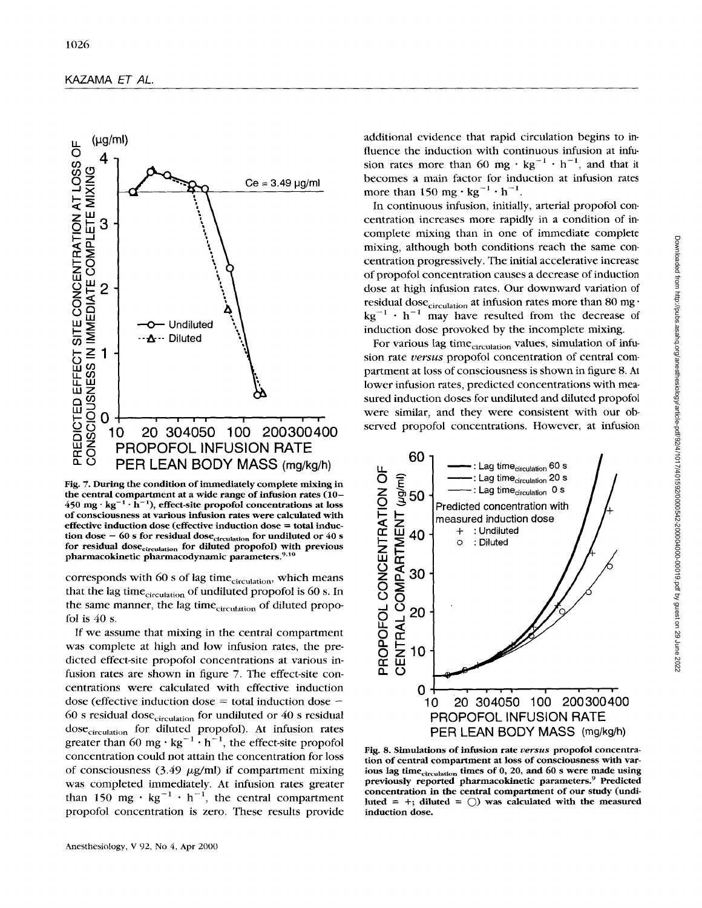

**Fig. 7. During the condition of immediately complete mixing in the central compartment at a wide range of infusion rates (10-**   $450$  mg·kg<sup>-1</sup> $\cdot$   $\hat{h}^{-1}$ ), effect-site propofol concentrations at loss **of consciousness at various infusion rates were calculated with effective induction dose (effective induction dose** = **total induction dose – 60 s for residual dose<sub>circulation</sub> for undiluted or 40 s** for residual dose<sub>circulation</sub> for diluted propofol) with previous pharmacokinetic pharmacodynamic parameters.<sup>9,10</sup>

corresponds with 60 s of lag time<sub>circulation</sub>, which means that the lag time<sub>circulation</sub> of undiluted propofol is 60 s. In the same manner, the lag time<sub>circulation</sub> of diluted propofol is *40* **s.** 

If we assume that mixing in the central compartment was complete at high and low infusion rates, the predicted effect-site propofol concentrations at various infusion rates are shown in figure *7.* The effect-site concentrations were calculated with effective induction dose (effective induction dose  $=$  total induction dose  $-$ 60 **s** residual dosecirculation for undiluted or *40* **s** residual dose<sub>circulation</sub> for diluted propofol). At infusion rates greater than 60 mg  $\cdot$  kg<sup>-1</sup> $\cdot$  h<sup>-1</sup>, the effect-site propofol concentration could not attain the concentration for loss of consciousness *(3.49* pg/ml) if compartment mixing was completed immediately. At infusion rates greater than 150 mg  $\cdot$  kg<sup>-1</sup>  $\cdot$  h<sup>-1</sup>, the central compartment propofol concentration is zero. These results provide additional evidence that rapid circulation begins to influence the induction with continuous infusion at infusion rates more than 60  $mg \cdot kg^{-1} \cdot h^{-1}$ , and that it becomes a main factor for induction at infusion rates more than 150 mg  $\cdot$  kg<sup>-1</sup>  $\cdot$  h<sup>-1</sup>.

In continuous infusion, initially, arterial propofol concentration increases more rapidly in a condition of incomplete mixing than in one of immediate complete mixing, although both conditions reach the same concentration progressively. The initial accelerative increase of propofol concentration causes a decrease of induction dose at high infusion rates. Our downward variation of residual dose<sub>circulation</sub> at infusion rates more than 80 mg·  $kg^{-1}$   $\cdot$  h<sup>-1</sup> may have resulted from the decrease of induction dose provoked **by** the incomplete mixing.

For various lag time $_{circulation}$  values, simulation of infusion rate *versus* propofol concentration of central compartment at loss of consciousness is shown in figure *8.* **At**  lower infusion rates, predicted concentrations with measured induction doses for undiluted and diluted propofol served propofol concentrations. However, at infusion



**Fig. 8. Simulations of infusion rate** *uersus* **propofol concentration of central compartment at loss of consciousness with var**ious lag time<sub>circulation</sub> times of 0, 20, and 60 *s* were made using previously reported pharmacokinetic parameters.<sup>9</sup> Predicted **concentration in the central compartment of our study (undiluted** = +; **diluted** <sup>=</sup>*0)* **was calculated with the measured induction dose.**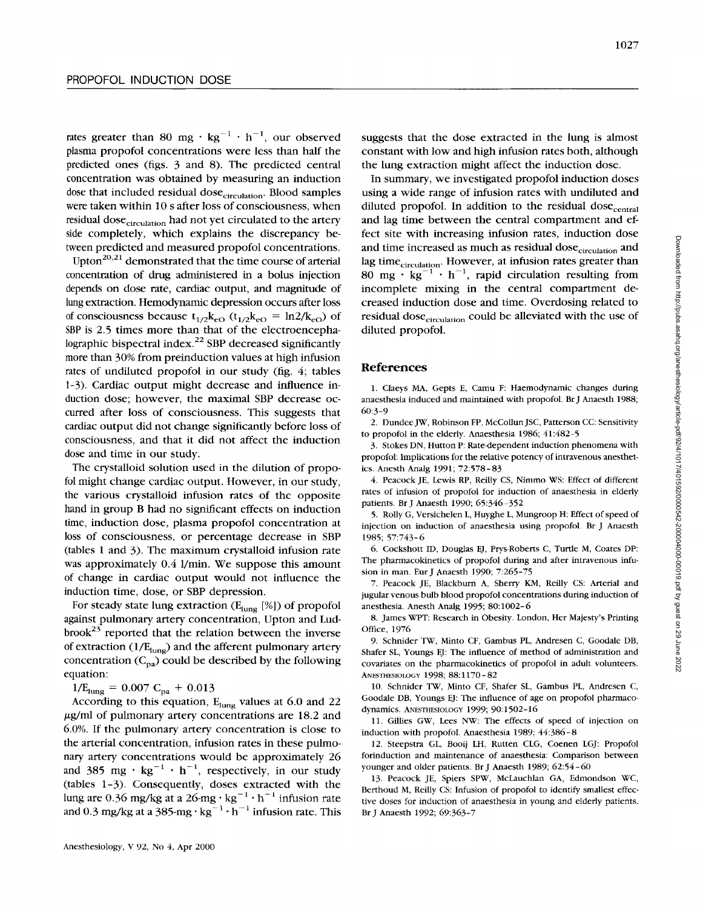rates greater than 80 mg  $\cdot$  kg<sup>-1</sup>  $\cdot$  h<sup>-1</sup>, our observed plasma propofol concentrations were less than half the predicted ones (figs. 3 and 8). The predicted central concentration was obtained by measuring an induction dose that included residual dose<sub>circulation</sub>. Blood samples were taken within 10 s after loss of consciousness, when residual dose<sub>circulation</sub> had not yet circulated to the artery side completely, which explains the discrepancy between predicted and measured propofol concentrations.

Upton<sup>20,21</sup> demonstrated that the time course of arterial concentration of drug administered in a bolus injection depends on dose rate, cardiac output, and magnitude of lung extraction. Hemodynamic depression occurs after loss of consciousness because  $t_{1/2}k_{eO}$  ( $t_{1/2}k_{eO} = \ln 2/k_{eO}$ ) of SBP is 2.5 times more than that of the electroencephalographic bispectral index.<sup>22</sup> SBP decreased significantly more than 30% from preinduction values at high infusion rates of undiluted propofol in our study (fig. *4;* tables 1-3). Cardiac output might decrease and influence induction dose; however, the maximal SBP decrease occurred after loss of consciousness. This suggests that cardiac output did not change significantly before loss of consciousness, and that it did not affect the induction dose and time in our study.

The crystalloid solution used in the dilution of propofol might change cardiac output. However, in our study, the various crystalloid infusion rates of the opposite hand in group **B** had no significant effects on induction time, induction dose, plasma propofol concentration at loss of consciousness, or percentage decrease in **SBP**  (tables 1 and 3). The maximum crystalloid infusion rate was approximately *0.4* l/min. **We** suppose this amount of change in cardiac output would not influence the induction time, dose, or SBP depression.

For steady state lung extraction  $(E_{\text{lung}} [\%])$  of propofol against pulmonary artery concentration, Upton and Lud $b$ rook<sup>23</sup> reported that the relation between the inverse of extraction  $(1/E_{\text{lung}})$  and the afferent pulmonary artery concentration  $(C_{pa})$  could be described by the following equation:

 $1/E_{\text{lung}} = 0.007 \text{ C}_{\text{pa}} + 0.013$ 

According to this equation,  $E_{\text{lung}}$  values at 6.0 and 22  $\mu$ g/ml of pulmonary artery concentrations are 18.2 and 6.0%. If the pulmonary artery concentration is close to the arterial concentration, infusion rates in these pulmonary artery concentrations would be approximately 26 and 385 mg  $\cdot$  kg<sup>-1</sup>  $\cdot$  h<sup>-1</sup>, respectively, in our study (tables 1-3). Consequently, doses extracted with the lung are 0.36 mg/kg at a 26-mg  $\cdot$  kg<sup>-1</sup>  $\cdot$  h<sup>-1</sup> infusion rate and 0.3 mg/kg at a 385-mg·kg<sup>-1</sup>·h<sup>-1</sup> infusion rate. This

suggests that the dose extracted in the lung is almost constant with low and high infusion rates both, although the lung extraction might affect the induction dose.

In summary, we investigated propofol induction doses using a wide range of infusion rates with undiluted and diluted propofol. In addition to the residual dose<sub>central</sub> and lag time between the central compartment and effect site with increasing infusion rates, induction dose and time increased as much as residual dose<sub>circulation</sub> and lag time<sub>circulation</sub>. However, at infusion rates greater than 80 mg  $\cdot$  kg<sup>-1</sup>  $\cdot$  h<sup>-1</sup>, rapid circulation resulting from incomplete mixing in the central compartment decreased induction dose and time. Overdosing related to residual dose<sub>circulation</sub> could be alleviated with the use of diluted propofol.

#### **References**

**1.** Claeys **MA,** Gepts E, Camu **F:** Haemodynamic changes during anaesthesia induced and maintained with propofol. Br J Anaesth 1988; 60:3-9

2. Dundee JW, Robinson FP, McCollun JSC, Patterson CC: Sensitivity to propofol in the elderly. Anaesthesia 1986; 41:482-5

3. Stokes DN, Hutton P: Rate-dependent induction phenomena with propofol: Implications for the relative potency of intravenous anesthetics. Anesth Analg 1991; *72:578-83* 

*4.* Peacock JE, Lewis RP, Reilly **CS,** Nimmo **WS:** Effect of different rates of infusion of propofol for induction of anaesthesia in elderly patients. Br J Anaesth 1990; 65:346-352

5. Rolly G, Versichelen L, Huyghe L, Mungroop H: Effect of speed of injection on induction of anaesthesia using propofol. Br J Anaesth 1985; 57:743-6

6. Cockshott ID, Douglas EJ, Prys-Roberts C, Turtle M, Coates DP: The pharmacokinetics of propofol during and after intravenous infusion in man. Eur J Anaesth 1990; 7:265-75

*7.* Peacock JE, Blackburn A, Sherry KM, Reilly CS: Arterial and jugular venous bulb blood propofol concentrations during induction of anesthesia. Anesth Analg 1995; 80:1002- 6

8. James WPT: Research in Obesity. London, Her Majesty's Printing Office, 1976

9. Schnider TW, Minto CF, Gambus PL, Andresen C, Goodale DB, Shafer SL, Youngs EJ: The influence of method of administration and covariates on the pharmacokinetics of propofol in adult volunteers. ANESTHESIOLOGY 1998; 88:1170-82

10. Schnider TW, Minto CF, Shafer SL, Gambus PL, Andresen C, Goodale DB, Youngs EJ: The influence of age on propofol pharmaccdynamics. **ANESTHESIOLOGY** 1999; 90: 1502-16

11. Gillies GW, Lees *NW:* The effects of speed of injection on induction with propofol. Anaesthesia 1989; 44:386-8

12. Steepstra GL, Booij LH, Rutten **CLG,** Coenen LGJ: Propofol forinduction and maintenance **of** anaesthesia: Comparison between younger and older patients. Br J Anaesth 1989; 62:54 - 60

13. Peacock JE, **Spiers** SPW, McLauchlan GA, Edmondson WC, Berthoud M, Reilly CS: Infusion of propofol to identify smallest effective doses for induction of anaesthesia in young and elderly patients. Br J Anaesth 1992; 69:363-7